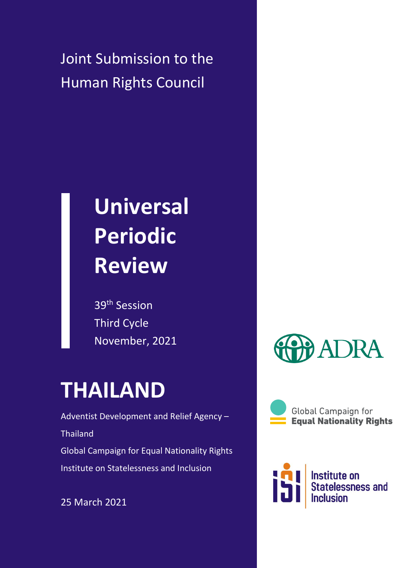Joint Submission to the Human Rights Council

# **Universal Periodic Review**

39th Session Third Cycle November, 2021

# **THAILAND**

Adventist Development and Relief Agency – Thailand Global Campaign for Equal Nationality Rights Institute on Statelessness and Inclusion

25 March 2021



**Global Campaign for Equal Nationality Rights** 

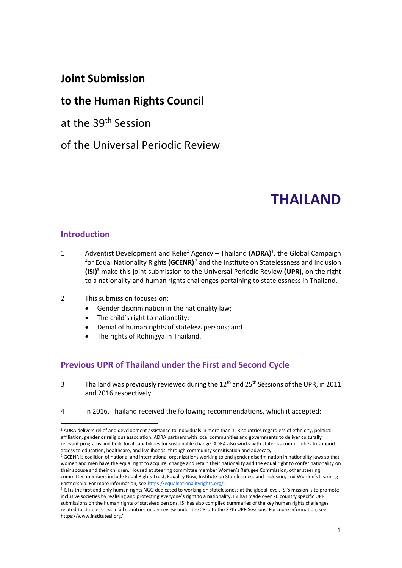### **Joint Submission**

### **to the Human Rights Council**

at the 39th Session

of the Universal Periodic Review

## **THAILAND**

#### **Introduction**

- 1 Adventist Development and Relief Agency Thailand **(ADRA)**<sup>1</sup> , the Global Campaign for Equal Nationality Rights **(GCENR)** <sup>2</sup> and the Institute on Statelessness and Inclusion **(ISI)<sup>3</sup>** make this joint submission to the Universal Periodic Review **(UPR)**, on the right to a nationality and human rights challenges pertaining to statelessness in Thailand.
- 2 This submission focuses on:
	- Gender discrimination in the nationality law;
	- The child's right to nationality;
	- Denial of human rights of stateless persons; and
	- The rights of Rohingya in Thailand.

#### **Previous UPR of Thailand under the First and Second Cycle**

- 3 Thailand was previously reviewed during the  $12<sup>th</sup>$  and  $25<sup>th</sup>$  Sessions of the UPR, in 2011 and 2016 respectively.
- 4 In 2016, Thailand received the following recommendations, which it accepted:

<sup>1</sup> ADRA delivers relief and development assistance to individuals in more than 118 countries regardless of ethnicity, political affiliation, gender or religious association. ADRA partners with local communities and governments to deliver culturally relevant programs and build local capabilities for sustainable change. ADRA also works with stateless communities to support access to education, healthcare, and livelihoods, through community sensitisation and advocacy.

<sup>&</sup>lt;sup>2</sup> GCENR is coalition of national and international organizations working to end gender discrimination in nationality laws so that women and men have the equal right to acquire, change and retain their nationality and the equal right to confer nationality on their spouse and their children. Housed at steering committee member Women's Refugee Commission, other steering committee members include Equal Rights Trust, Equality Now, Institute on Statelessness and Inclusion, and Women's Learning Partnership. For more information, se[e https://equalnationalityrights.org/.](https://equalnationalityrights.org/)

<sup>&</sup>lt;sup>3</sup> ISI is the first and only human rights NGO dedicated to working on statelessness at the global level. ISI's mission is to promote inclusive societies by realising and protecting everyone's right to a nationality. ISI has made over 70 country specific UPR submissions on the human rights of stateless persons. ISI has also compiled summaries of the key human rights challenges related to statelessness in all countries under review under the 23rd to the 37th UPR Sessions. For more information, see [https://www.institutesi.org/.](https://www.institutesi.org/)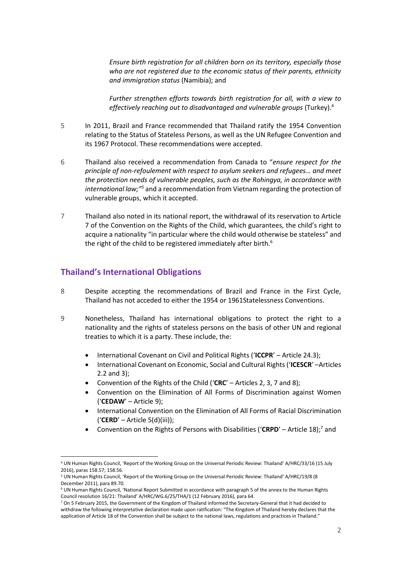*Ensure birth registration for all children born on its territory, especially those who are not registered due to the economic status of their parents, ethnicity and immigration status* (Namibia); and

*Further strengthen efforts towards birth registration for all, with a view to effectively reaching out to disadvantaged and vulnerable groups* (Turkey).<sup>4</sup>

- 5 In 2011, Brazil and France recommended that Thailand ratify the 1954 Convention relating to the Status of Stateless Persons, as well as the UN Refugee Convention and its 1967 Protocol. These recommendations were accepted.
- 6 Thailand also received a recommendation from Canada to "*ensure respect for the principle of non-refoulement with respect to asylum seekers and refugees… and meet the protection needs of vulnerable peoples, such as the Rohingya, in accordance with international law;"<sup>5</sup>* and a recommendation from Vietnam regarding the protection of vulnerable groups, which it accepted.
- 7 Thailand also noted in its national report, the withdrawal of its reservation to Article 7 of the Convention on the Rights of the Child, which guarantees, the child's right to acquire a nationality "in particular where the child would otherwise be stateless" and the right of the child to be registered immediately after birth.<sup>6</sup>

#### **Thailand's International Obligations**

- 8 Despite accepting the recommendations of Brazil and France in the First Cycle, Thailand has not acceded to either the 1954 or 1961Statelessness Conventions.
- 9 Nonetheless, Thailand has international obligations to protect the right to a nationality and the rights of stateless persons on the basis of other UN and regional treaties to which it is a party. These include, the:
	- International Covenant on Civil and Political Rights ('**ICCPR**' Article 24.3);
	- International Covenant on Economic, Social and Cultural Rights ('**ICESCR**' –Articles 2.2 and 3);
	- Convention of the Rights of the Child ('**CRC**' Articles 2, 3, 7 and 8);
	- Convention on the Elimination of All Forms of Discrimination against Women ('**CEDAW**' – Article 9);
	- International Convention on the Elimination of All Forms of Racial Discrimination ('**CERD**' – Article 5(d)(iii));
	- Convention on the Rights of Persons with Disabilities ('CRPD' Article 18);<sup>7</sup> and

<sup>4</sup> UN Human Rights Council, 'Report of the Working Group on the Universal Periodic Review: Thailand' A/HRC/33/16 (15 July 2016), paras 158.57; 158.56.

<sup>5</sup> UN Human Rights Council, 'Report of the Working Group on the Universal Periodic Review: Thailand' A/HRC/19/8 (8 December 2011), para 89.70.

<sup>6</sup> UN Human Rights Council, 'National Report Submitted in accordance with paragraph 5 of the annex to the Human Rights Council resolution 16/21: Thailand' A/HRC/WG.6/25/THA/1 (12 February 2016), para 64.

<sup>&</sup>lt;sup>7</sup> On 5 February 2015, the Government of the Kingdom of Thailand informed the Secretary-General that it had decided to withdraw the following interpretative declaration made upon ratification: "The Kingdom of Thailand hereby declares that the application of Article 18 of the Convention shall be subject to the national laws, regulations and practices in Thailand."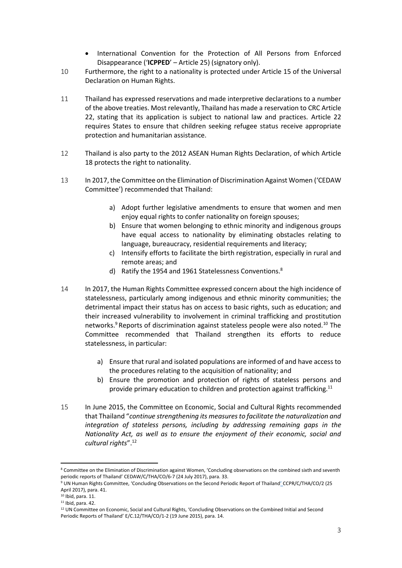- International Convention for the Protection of All Persons from Enforced Disappearance ('**ICPPED**' – Article 25) (signatory only).
- 10 Furthermore, the right to a nationality is protected under Article 15 of the Universal Declaration on Human Rights.
- 11 Thailand has expressed reservations and made interpretive declarations to a number of the above treaties. Most relevantly, Thailand has made a reservation to CRC Article 22, stating that its application is subject to national law and practices. Article 22 requires States to ensure that children seeking refugee status receive appropriate protection and humanitarian assistance.
- 12 Thailand is also party to the 2012 ASEAN Human Rights Declaration, of which Article 18 protects the right to nationality.
- 13 In 2017, the Committee on the Elimination of Discrimination Against Women ('CEDAW Committee') recommended that Thailand:
	- a) Adopt further legislative amendments to ensure that women and men enjoy equal rights to confer nationality on foreign spouses;
	- b) Ensure that women belonging to ethnic minority and indigenous groups have equal access to nationality by eliminating obstacles relating to language, bureaucracy, residential requirements and literacy;
	- c) Intensify efforts to facilitate the birth registration, especially in rural and remote areas; and
	- d) Ratify the 1954 and 1961 Statelessness Conventions.<sup>8</sup>
- 14 In 2017, the Human Rights Committee expressed concern about the high incidence of statelessness, particularly among indigenous and ethnic minority communities; the detrimental impact their status has on access to basic rights, such as education; and their increased vulnerability to involvement in criminal trafficking and prostitution networks.<sup>9</sup> Reports of discrimination against stateless people were also noted.<sup>10</sup> The Committee recommended that Thailand strengthen its efforts to reduce statelessness, in particular:
	- a) Ensure that rural and isolated populations are informed of and have access to the procedures relating to the acquisition of nationality; and
	- b) Ensure the promotion and protection of rights of stateless persons and provide primary education to children and protection against trafficking.<sup>11</sup>
- 15 In June 2015, the Committee on Economic, Social and Cultural Rights recommended that Thailand "*continue strengthening its measures to facilitate the naturalization and integration of stateless persons, including by addressing remaining gaps in the Nationality Act, as well as to ensure the enjoyment of their economic, social and cultural rights*".<sup>12</sup>

<sup>8</sup> Committee on the Elimination of Discrimination against Women, 'Concluding observations on the combined sixth and seventh periodic reports of Thailand' CEDAW/C/THA/CO/6-7 (24 July 2017), para. 33.

<sup>9</sup> UN Human Rights Committee, 'Concluding Observations on the Second Periodic Report of Thailand' CCPR/C/THA/CO/2 (25 April 2017), para. 41.

 $10$  Ibid, para. 11.

<sup>11</sup> Ibid, para. 42.

<sup>&</sup>lt;sup>12</sup> UN Committee on Economic, Social and Cultural Rights, 'Concluding Observations on the Combined Initial and Second Periodic Reports of Thailand' E/C.12/THA/CO/1-2 (19 June 2015), para. 14.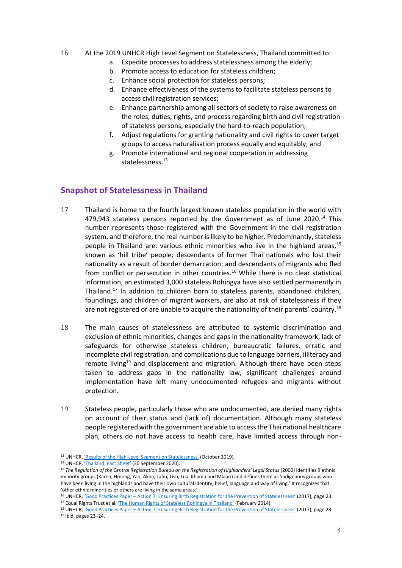#### 16 At the 2019 UNHCR High Level Segment on Statelessness, Thailand committed to:

- a. Expedite processes to address statelessness among the elderly;
- b. Promote access to education for stateless children;
- c. Enhance social protection for stateless persons;
- d. Enhance effectiveness of the systems to facilitate stateless persons to access civil registration services;
- e. Enhance partnership among all sectors of society to raise awareness on the roles, duties, rights, and process regarding birth and civil registration of stateless persons, especially the hard-to-reach population;
- f. Adjust regulations for granting nationality and civil rights to cover target groups to access naturalisation process equally and equitably; and
- g. Promote international and regional cooperation in addressing statelessness.<sup>13</sup>

#### **Snapshot of Statelessness in Thailand**

- 17 Thailand is home to the fourth largest known stateless population in the world with 479,943 stateless persons reported by the Government as of June 2020.<sup>14</sup> This number represents those registered with the Government in the civil registration system, and therefore, the real number is likely to be higher. Predominantly, stateless people in Thailand are: various ethnic minorities who live in the highland areas,  $15$ known as 'hill tribe' people; descendants of former Thai nationals who lost their nationality as a result of border demarcation; and descendants of migrants who fled from conflict or persecution in other countries.<sup>16</sup> While there is no clear statistical information, an estimated 3,000 stateless Rohingya have also settled permanently in Thailand.<sup>17</sup> In addition to children born to stateless parents, abandoned children, foundlings, and children of migrant workers, are also at risk of statelessness if they are not registered or are unable to acquire the nationality of their parents' country.<sup>18</sup>
- 18 The main causes of statelessness are attributed to systemic discrimination and exclusion of ethnic minorities, changes and gaps in the nationality framework, lack of safeguards for otherwise stateless children, bureaucratic failures, erratic and incomplete civil registration, and complications due to language barriers, illiteracy and remote living<sup>19</sup> and displacement and migration. Although there have been steps taken to address gaps in the nationality law, significant challenges around implementation have left many undocumented refugees and migrants without protection.
- 19 Stateless people, particularly those who are undocumented, are denied many rights on account of their status and (lack of) documentation. Although many stateless people registered with the government are able to access the Thai national healthcare plan, others do not have access to health care, have limited access through non-

<sup>13</sup> UNHCR, 'Results of the High-[Level Segment on Statelessness'](https://www.unhcr.org/ibelong/results-of-the-high-level-segment-on-statelessness/) (October 2019).

<sup>14</sup> UNHCR, '[Thailand: Fact Sheet](https://www.unhcr.org/th/wp-content/uploads/sites/91/2020/11/UNHCR-Thailand-Fact-Sheet_30-September-2020.pdf)' (30 September 2020).

<sup>15</sup> *The Regulation of the Central Registration Bureau on the Registration of Highlanders' Legal Status* (2000) identifies 9 ethnic minority groups (Karen, Hmong, Yao, Akha, Lahu, Lisu, Lua, Khamu and Mlabri) and defines them as 'indigenous groups who have been living in the highlands and have their own cultural identity, belief, language and way of living.' It recognizes that 'other ethnic minorities or others are living in the same areas.'

<sup>16</sup> UNHCR, *'*Good Practices Paper – [Action 7: Ensuring Birth Registration for the Prevention of Statelessness'](https://www.refworld.org/docid/5a0ac8f94.html) (2017), page 23. <sup>17</sup> Equal Rights Trust et al, ['The Human Rights of Stateless Rohingya in Thailand'](https://www.equalrightstrust.org/ertdocumentbank/The%20Human%20Rights%20of%20Stateless%20Rohingya%20in%20Thailand%28small%29.pdf) (February 2014).

<sup>18</sup> UNHCR, *'*Good Practices Paper – [Action 7: Ensuring Birth Registration for the Prevention of Sta](https://www.refworld.org/docid/5a0ac8f94.html)telessness' (2017), page 23. <sup>19</sup> ibid, pages 23–24.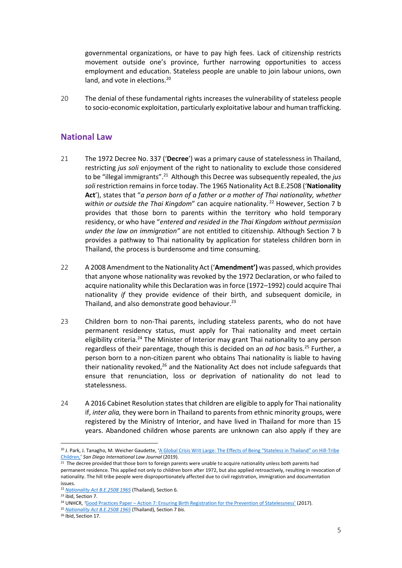governmental organizations, or have to pay high fees. Lack of citizenship restricts movement outside one's province, further narrowing opportunities to access employment and education. Stateless people are unable to join labour unions, own land, and vote in elections.<sup>20</sup>

20 The denial of these fundamental rights increases the vulnerability of stateless people to socio-economic exploitation, particularly exploitative labour and human trafficking.

#### **National Law**

- 21 The 1972 Decree No. 337 ('**Decree**') was a primary cause of statelessness in Thailand, restricting *jus soli* enjoyment of the right to nationality to exclude those considered to be "illegal immigrants".<sup>21</sup> Although this Decree was subsequently repealed, the *jus soli* restriction remains in force today. The 1965 Nationality Act B.E.2508 ('**Nationality Act**'), states that "*a person born of a father or a mother of Thai nationality, whether within or outside the Thai Kingdom*" can acquire nationality.<sup>22</sup> However, Section 7 b provides that those born to parents within the territory who hold temporary residency, or who have "*entered and resided in the Thai Kingdom without permission under the law on immigration"* are not entitled to citizenship. Although Section 7 b provides a pathway to Thai nationality by application for stateless children born in Thailand, the process is burdensome and time consuming.
- 22 A 2008 Amendment to the Nationality Act ('**Amendment')** was passed, which provides that anyone whose nationality was revoked by the 1972 Declaration, or who failed to acquire nationality while this Declaration was in force (1972–1992) could acquire Thai nationality *if* they provide evidence of their birth, and subsequent domicile, in Thailand, and also demonstrate good behaviour.<sup>23</sup>
- 23 Children born to non-Thai parents, including stateless parents, who do not have permanent residency status, must apply for Thai nationality and meet certain eligibility criteria.<sup>24</sup> The Minister of Interior may grant Thai nationality to any person regardless of their parentage, though this is decided on an *ad hoc* basis.<sup>25</sup> Further, a person born to a non-citizen parent who obtains Thai nationality is liable to having their nationality revoked,<sup>26</sup> and the Nationality Act does not include safeguards that ensure that renunciation, loss or deprivation of nationality do not lead to statelessness.
- 24 A 2016 Cabinet Resolution states that children are eligible to apply for Thai nationality if, *inter alia,* they were born in Thailand to parents from ethnic minority groups, were registered by the Ministry of Interior, and have lived in Thailand for more than 15 years. Abandoned children whose parents are unknown can also apply if they are

<sup>&</sup>lt;sup>20</sup> J. Park, J. Tanagho, M. Weicher Gaudette, ['A Global Crisis Writ Large: The Effects of Being "Stateless in Thailand" on Hill](https://digital.sandiego.edu/ilj/vol10/iss2/8/)-Tribe [Children,](https://digital.sandiego.edu/ilj/vol10/iss2/8/)' *San Diego International Law Journal* (2019).

 $21$  The decree provided that those born to foreign parents were unable to acquire nationality unless both parents had permanent residence. This applied not only to children born after 1972, but also applied retroactively, resulting in revocation of nationality. The hill tribe people were disproportionately affected due to civil registration, immigration and documentation issues.

<sup>22</sup> *[Nationality Act B.E.2508](https://www.refworld.org/pdfid/506c08862.pdf) 1965* (Thailand), Section 6.

<sup>&</sup>lt;sup>23</sup> ibid, Section 7.

<sup>24</sup> UNHCR, *'*Good Practices Paper – [Action 7: Ensuring Birth Registration for the Prevention of Statelessness'](https://www.refworld.org/docid/5a0ac8f94.html) (2017).

<sup>25</sup> *[Nationality Act B.E.2508](https://www.refworld.org/pdfid/506c08862.pdf) 1965* (Thailand), Section 7 *bis*.

<sup>26</sup> Ibid, Section 17.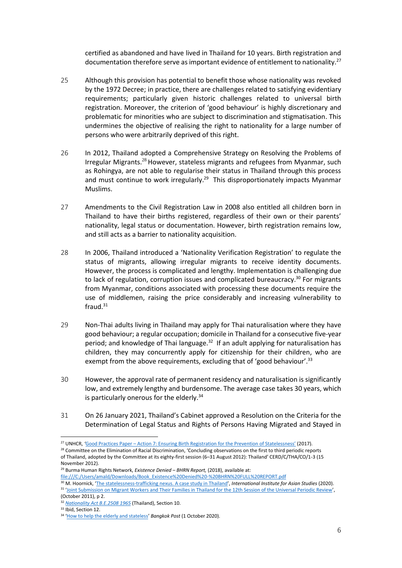certified as abandoned and have lived in Thailand for 10 years. Birth registration and documentation therefore serve as important evidence of entitlement to nationality.<sup>27</sup>

- 25 Although this provision has potential to benefit those whose nationality was revoked by the 1972 Decree; in practice, there are challenges related to satisfying evidentiary requirements; particularly given historic challenges related to universal birth registration. Moreover, the criterion of 'good behaviour' is highly discretionary and problematic for minorities who are subject to discrimination and stigmatisation. This undermines the objective of realising the right to nationality for a large number of persons who were arbitrarily deprived of this right.
- 26 In 2012, Thailand adopted a Comprehensive Strategy on Resolving the Problems of Irregular Migrants.<sup>28</sup> However, stateless migrants and refugees from Myanmar, such as Rohingya, are not able to regularise their status in Thailand through this process and must continue to work irregularly.<sup>29</sup> This disproportionately impacts Myanmar Muslims.
- 27 Amendments to the Civil Registration Law in 2008 also entitled all children born in Thailand to have their births registered, regardless of their own or their parents' nationality, legal status or documentation. However, birth registration remains low, and still acts as a barrier to nationality acquisition.
- 28 In 2006, Thailand introduced a 'Nationality Verification Registration' to regulate the status of migrants, allowing irregular migrants to receive identity documents. However, the process is complicated and lengthy. Implementation is challenging due to lack of regulation, corruption issues and complicated bureaucracy.<sup>30</sup> For migrants from Myanmar, conditions associated with processing these documents require the use of middlemen, raising the price considerably and increasing vulnerability to fraud. $31$
- 29 Non-Thai adults living in Thailand may apply for Thai naturalisation where they have good behaviour; a regular occupation; domicile in Thailand for a consecutive five-year period; and knowledge of Thai language.<sup>32</sup> If an adult applying for naturalisation has children, they may concurrently apply for citizenship for their children, who are exempt from the above requirements, excluding that of 'good behaviour'.<sup>33</sup>
- 30 However, the approval rate of permanent residency and naturalisation is significantly low, and extremely lengthy and burdensome. The average case takes 30 years, which is particularly onerous for the elderly. $34$
- 31 On 26 January 2021, Thailand's Cabinet approved a Resolution on the Criteria for the Determination of Legal Status and Rights of Persons Having Migrated and Stayed in

<sup>27</sup> UNHCR, *'*Good Practices Paper – Action 7: Ensuring Birth [Registration for the Prevention of Statelessness'](https://www.refworld.org/docid/5a0ac8f94.html) (2017).

<sup>&</sup>lt;sup>28</sup> Committee on the Elimination of Racial Discrimination, 'Concluding observations on the first to third periodic reports of Thailand, adopted by the Committee at its eighty-first session (6–31 August 2012): Thailand' CERD/C/THA/CO/1-3 (15 November 2012).

<sup>29</sup> Burma Human Rights Network, *Existence Denied – BHRN Report,* (2018), available at:

[file:///C:/Users/amald/Downloads/Book\\_Existence%20Denied%20-%20BHRN%20FULL%20REPORT.pdf](file:///C:/Users/amald/Downloads/Book_Existence%20Denied%20-%20BHRN%20FULL%20REPORT.pdf)

<sup>30</sup> M. Hoornick, '[The statelessness-trafficking nexus. A case study](https://www.iias.asia/the-newsletter/article/statelessness-trafficking-nexus-case-study-thailand) in Thailand', *International Institute for Asian Studies* (2020). <sup>31</sup> '[Joint Submission on Migrant Workers and Their Families in Thailand for the 12th Session of the Universal Periodic Review](https://lib.ohchr.org/HRBodies/UPR/Documents/session12/TH/JS4-JointSubmission4-eng.pdf)', (October 2011), p 2.

<sup>32</sup> *[Nationality Act B.E.2508](https://www.refworld.org/pdfid/506c08862.pdf) 1965* (Thailand), Section 10.

<sup>&</sup>lt;sup>33</sup> Ibid, Section 12.

<sup>34</sup> '[How to help the elderly and stateless](https://www.bangkokpost.com/opinion/opinion/1994411/how-to-help-the-elderly-and-stateless.)' *Bangkok Post* (1 October 2020).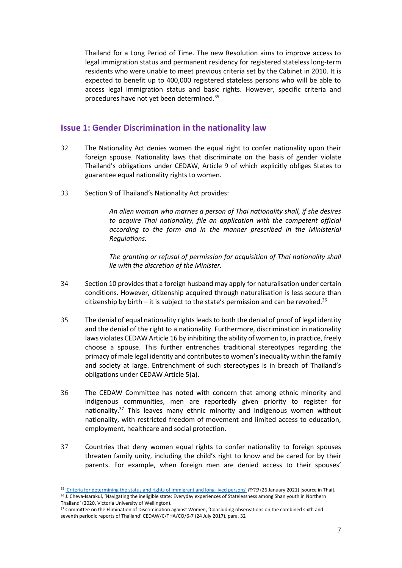Thailand for a Long Period of Time. The new Resolution aims to improve access to legal immigration status and permanent residency for registered stateless long-term residents who were unable to meet previous criteria set by the Cabinet in 2010. It is expected to benefit up to 400,000 registered stateless persons who will be able to access legal immigration status and basic rights. However, specific criteria and procedures have not yet been determined.<sup>35</sup>

#### **Issue 1: Gender Discrimination in the nationality law**

- 32 The Nationality Act denies women the equal right to confer nationality upon their foreign spouse. Nationality laws that discriminate on the basis of gender violate Thailand's obligations under CEDAW, Article 9 of which explicitly obliges States to guarantee equal nationality rights to women.
- 33 Section 9 of Thailand's Nationality Act provides:

*An alien woman who marries a person of Thai nationality shall, if she desires to acquire Thai nationality, file an application with the competent official according to the form and in the manner prescribed in the Ministerial Regulations.* 

*The granting or refusal of permission for acquisition of Thai nationality shall lie with the discretion of the Minister.*

- 34 Section 10 provides that a foreign husband may apply for naturalisation under certain conditions. However, citizenship acquired through naturalisation is less secure than citizenship by birth – it is subject to the state's permission and can be revoked.<sup>36</sup>
- 35 The denial of equal nationality rights leads to both the denial of proof of legal identity and the denial of the right to a nationality. Furthermore, discrimination in nationality laws violates CEDAW Article 16 by inhibiting the ability of women to, in practice, freely choose a spouse. This further entrenches traditional stereotypes regarding the primacy of male legal identity and contributesto women's inequality within the family and society at large. Entrenchment of such stereotypes is in breach of Thailand's obligations under CEDAW Article 5(a).
- 36 The CEDAW Committee has noted with concern that among ethnic minority and indigenous communities, men are reportedly given priority to register for nationality. $37$  This leaves many ethnic minority and indigenous women without nationality, with restricted freedom of movement and limited access to education, employment, healthcare and social protection.
- 37 Countries that deny women equal rights to confer nationality to foreign spouses threaten family unity, including the child's right to know and be cared for by their parents. For example, when foreign men are denied access to their spouses'

<sup>35</sup> ['Criteria for determining the status and rights of immigrant and long](https://www.ryt9.com/s/cabt/3194535)-lived persons' *RYT9* (26 January 2021) [source in Thai].

<sup>&</sup>lt;sup>36</sup> J. Cheva-Isarakul, 'Navigating the ineligible state: Everyday experiences of Statelessness among Shan youth in Northern Thailand' (2020, Victoria University of Wellington).

<sup>&</sup>lt;sup>37</sup> Committee on the Elimination of Discrimination against Women, 'Concluding observations on the combined sixth and seventh periodic reports of Thailand' CEDAW/C/THA/CO/6-7 (24 July 2017), para. 32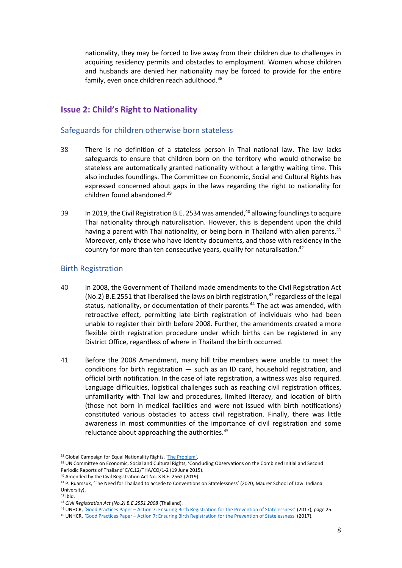nationality, they may be forced to live away from their children due to challenges in acquiring residency permits and obstacles to employment. Women whose children and husbands are denied her nationality may be forced to provide for the entire family, even once children reach adulthood.<sup>38</sup>

#### **Issue 2: Child's Right to Nationality**

#### Safeguards for children otherwise born stateless

- 38 There is no definition of a stateless person in Thai national law. The law lacks safeguards to ensure that children born on the territory who would otherwise be stateless are automatically granted nationality without a lengthy waiting time. This also includes foundlings. The Committee on Economic, Social and Cultural Rights has expressed concerned about gaps in the laws regarding the right to nationality for children found abandoned. 39
- 39 In 2019, the Civil Registration B.E. 2534 was amended, $40$  allowing foundlings to acquire Thai nationality through naturalisation. However, this is dependent upon the child having a parent with Thai nationality, or being born in Thailand with alien parents.<sup>41</sup> Moreover, only those who have identity documents, and those with residency in the country for more than ten consecutive years, qualify for naturalisation.<sup>42</sup>

#### Birth Registration

- 40 In 2008, the Government of Thailand made amendments to the Civil Registration Act (No.2) B.E.2551 that liberalised the laws on birth registration, $43$  regardless of the legal status, nationality, or documentation of their parents.<sup>44</sup> The act was amended, with retroactive effect, permitting late birth registration of individuals who had been unable to register their birth before 2008. Further, the amendments created a more flexible birth registration procedure under which births can be registered in any District Office, regardless of where in Thailand the birth occurred.
- 41 Before the 2008 Amendment, many hill tribe members were unable to meet the conditions for birth registration — such as an ID card, household registration, and official birth notification. In the case of late registration, a witness was also required. Language difficulties, logistical challenges such as reaching civil registration offices, unfamiliarity with Thai law and procedures, limited literacy, and location of birth (those not born in medical facilities and were not issued with birth notifications) constituted various obstacles to access civil registration. Finally, there was little awareness in most communities of the importance of civil registration and some reluctance about approaching the authorities.<sup>45</sup>

<sup>38</sup> Global Campaign for Equal Nationality Rights, ['The Problem'](https://www.equalnationalityrights.org/the-issue/the-problem).

<sup>39</sup> UN Committee on Economic, Social and Cultural Rights, 'Concluding Observations on the Combined Initial and Second Periodic Reports of Thailand' E/C.12/THA/CO/1-2 (19 June 2015).

<sup>40</sup> Amended by the Civil Registration Act No. 3 B.E. 2562 (2019).

<sup>&</sup>lt;sup>41</sup> P. Ruamsuk, 'The Need for Thailand to accede to Conventions on Statelessness' (2020, Maurer School of Law: Indiana University).

<sup>42</sup> Ibid.

<sup>43</sup> *Civil Registration Act (No.2) B.E.2551 2008* (Thailand).

<sup>44</sup> UNHCR, *'*Good Practices Paper – [Action 7: Ensuring Birth Registration for the Prevention of Statelessness'](https://www.refworld.org/docid/5a0ac8f94.html) (2017), page 25.

<sup>45</sup> UNHCR, *'*Good Practices Paper – [Action 7: Ensuring Birth Registration for the Prevention of Statelessness'](https://www.refworld.org/docid/5a0ac8f94.html) (2017).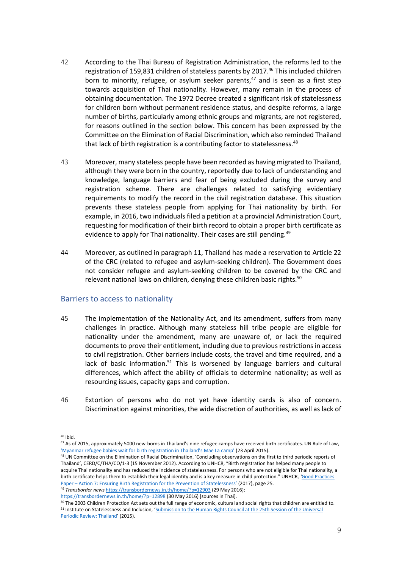- 42 According to the Thai Bureau of Registration Administration, the reforms led to the registration of 159,831 children of stateless parents by 2017. <sup>46</sup> This included children born to minority, refugee, or asylum seeker parents, $47$  and is seen as a first step towards acquisition of Thai nationality. However, many remain in the process of obtaining documentation. The 1972 Decree created a significant risk of statelessness for children born without permanent residence status, and despite reforms, a large number of births, particularly among ethnic groups and migrants, are not registered, for reasons outlined in the section below. This concern has been expressed by the Committee on the Elimination of Racial Discrimination, which also reminded Thailand that lack of birth registration is a contributing factor to statelessness.<sup>48</sup>
- 43 Moreover, many stateless people have been recorded as having migrated to Thailand, although they were born in the country, reportedly due to lack of understanding and knowledge, language barriers and fear of being excluded during the survey and registration scheme. There are challenges related to satisfying evidentiary requirements to modify the record in the civil registration database. This situation prevents these stateless people from applying for Thai nationality by birth. For example, in 2016, two individuals filed a petition at a provincial Administration Court, requesting for modification of their birth record to obtain a proper birth certificate as evidence to apply for Thai nationality. Their cases are still pending.<sup>49</sup>
- 44 Moreover, as outlined in paragraph 11, Thailand has made a reservation to Article 22 of the CRC (related to refugee and asylum-seeking children). The Government does not consider refugee and asylum-seeking children to be covered by the CRC and relevant national laws on children, denying these children basic rights.<sup>50</sup>

#### Barriers to access to nationality

- 45 The implementation of the Nationality Act, and its amendment, suffers from many challenges in practice. Although many stateless hill tribe people are eligible for nationality under the amendment, many are unaware of, or lack the required documents to prove their entitlement, including due to previous restrictions in access to civil registration. Other barriers include costs, the travel and time required, and a lack of basic information.<sup>51</sup> This is worsened by language barriers and cultural differences, which affect the ability of officials to determine nationality; as well as resourcing issues, capacity gaps and corruption.
- 46 Extortion of persons who do not yet have identity cards is also of concern. Discrimination against minorities, the wide discretion of authorities, as well as lack of

<sup>49</sup> *Transborder news* <https://transbordernews.in.th/home/?p=12903> (29 May 2016); <https://transbordernews.in.th/home/?p=12898> (30 May 2016) [sources in Thai].

<sup>46</sup> Ibid.

<sup>&</sup>lt;sup>47</sup> As of 2015, approximately 5000 new-borns in Thailand's nine refugee camps have received birth certificates. UN Rule of Law, ['Myanmar refugee babies wait for birth registration in Thailand's Mae La camp'](https://www.un.org/ruleoflaw/thailand-daily-life-and-living-conditions-at-umpium-and-mae-la-camps-largest-myanmar-refugee-camps/) (23 April 2015).

<sup>48</sup> UN Committee on the Elimination of Racial Discrimination, 'Concluding observations on the first to third periodic reports of Thailand', CERD/C/THA/CO/1-3 (15 November 2012). According to UNHCR, "Birth registration has helped many people to acquire Thai nationality and has reduced the incidence of statelessness. For persons who are not eligible for Thai nationality, a birth certificate helps them to establish their legal identity and is a key measure in child protection." UNHCR, *'*[Good Practices](https://www.refworld.org/docid/5a0ac8f94.html)  Paper – [Action 7: Ensuring Birth Registration for the Prevention of Statelessness'](https://www.refworld.org/docid/5a0ac8f94.html) (2017), page 25.

<sup>50</sup> The 2003 Children Protection Act sets out the full range of economic, cultural and social rights that children are entitled to. <sup>51</sup> Institute on Statelessness and Inclusion, '[Submission to the Human Rights Council at the 25th Session of the Universal](https://files.institutesi.org/ThailandUPR2015.pdf)  [Periodic Review: Thailand](https://files.institutesi.org/ThailandUPR2015.pdf)' (2015).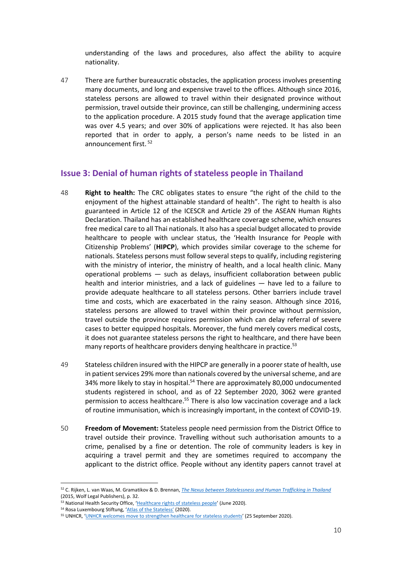understanding of the laws and procedures, also affect the ability to acquire nationality.

47 There are further bureaucratic obstacles, the application process involves presenting many documents, and long and expensive travel to the offices. Although since 2016, stateless persons are allowed to travel within their designated province without permission, travel outside their province, can still be challenging, undermining access to the application procedure. A 2015 study found that the average application time was over 4.5 years; and over 30% of applications were rejected. It has also been reported that in order to apply, a person's name needs to be listed in an announcement first. <sup>52</sup>

#### **Issue 3: Denial of human rights of stateless people in Thailand**

- 48 **Right to health:** The CRC obligates states to ensure "the right of the child to the enjoyment of the highest attainable standard of health". The right to health is also guaranteed in Article 12 of the ICESCR and Article 29 of the ASEAN Human Rights Declaration. Thailand has an established healthcare coverage scheme, which ensures free medical care to all Thai nationals. It also has a special budget allocated to provide healthcare to people with unclear status, the 'Health Insurance for People with Citizenship Problems' (**HIPCP**), which provides similar coverage to the scheme for nationals. Stateless persons must follow several steps to qualify, including registering with the ministry of interior, the ministry of health, and a local health clinic. Many operational problems — such as delays, insufficient collaboration between public health and interior ministries, and a lack of guidelines — have led to a failure to provide adequate healthcare to all stateless persons. Other barriers include travel time and costs, which are exacerbated in the rainy season. Although since 2016, stateless persons are allowed to travel within their province without permission, travel outside the province requires permission which can delay referral of severe cases to better equipped hospitals. Moreover, the fund merely covers medical costs, it does not guarantee stateless persons the right to healthcare, and there have been many reports of healthcare providers denying healthcare in practice.<sup>53</sup>
- 49 Stateless children insured with the HIPCP are generally in a poorer state of health, use in patient services 29% more than nationals covered by the universal scheme, and are 34% more likely to stay in hospital.<sup>54</sup> There are approximately 80,000 undocumented students registered in school, and as of 22 September 2020, 3062 were granted permission to access healthcare.<sup>55</sup> There is also low vaccination coverage and a lack of routine immunisation, which is increasingly important, in the context of COVID-19.
- 50 **Freedom of Movement:** Stateless people need permission from the District Office to travel outside their province. Travelling without such authorisation amounts to a crime, penalised by a fine or detention. The role of community leaders is key in acquiring a travel permit and they are sometimes required to accompany the applicant to the district office. People without any identity papers cannot travel at

<sup>52</sup> C. Rijken, L. van Waas, M. Gramatikov & D. Brennan, *[The Nexus between Statelessness and Human Trafficking in Thailand](https://files.institutesi.org/Stateless-Trafficking_Thailand.pdf)* (2015, Wolf Legal Publishers), p. 32.

<sup>53</sup> National Health Security Office, '[Healthcare rights of stateless people](http://eng.nhso.go.th/view/1/DescriptionNews/Healthcare-rights-of-stateless-people-/158/EN-US)' (June 2020).

<sup>54</sup> Rosa Luxembourg Stiftung, ['Atlas of the Stateless'](https://rosalux-geneva.org/atlas-of-the-stateless-2/) (2020).

<sup>55</sup> UNHCR, '[UNHCR welcomes move to strengthen healthcare for stateless students](https://www.unhcr.org/th/en/21829-unhcr-welcomes-move-to-strengthen-healthcare-for-stateless-students.html)' (25 September 2020).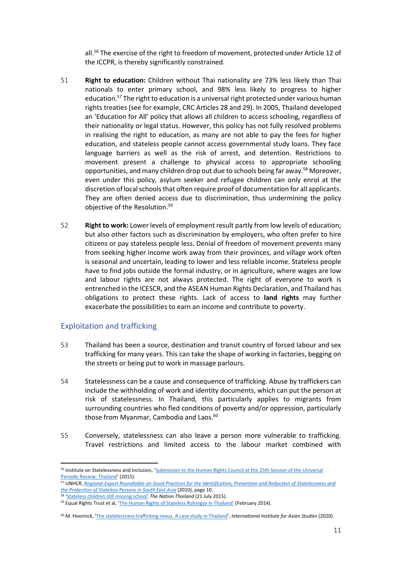all.<sup>56</sup> The exercise of the right to freedom of movement, protected under Article 12 of the ICCPR, is thereby significantly constrained.

- 51 **Right to education:** Children without Thai nationality are 73% less likely than Thai nationals to enter primary school, and 98% less likely to progress to higher education.<sup>57</sup> The right to education is a universal right protected under various human rights treaties (see for example, CRC Articles 28 and 29). In 2005, Thailand developed an 'Education for All' policy that allows all children to access schooling, regardless of their nationality or legal status. However, this policy has not fully resolved problems in realising the right to education, as many are not able to pay the fees for higher education, and stateless people cannot access governmental study loans. They face language barriers as well as the risk of arrest, and detention. Restrictions to movement present a challenge to physical access to appropriate schooling opportunities, and many children drop out due to schools being far away. <sup>58</sup> Moreover, even under this policy, asylum seeker and refugee children can only enrol at the discretion of local schools that often require proof of documentation for all applicants. They are often denied access due to discrimination, thus undermining the policy objective of the Resolution. 59
- 52 **Right to work:** Lower levels of employment result partly from low levels of education; but also other factors such as discrimination by employers, who often prefer to hire citizens or pay stateless people less. Denial of freedom of movement prevents many from seeking higher income work away from their provinces, and village work often is seasonal and uncertain, leading to lower and less reliable income. Stateless people have to find jobs outside the formal industry, or in agriculture, where wages are low and labour rights are not always protected. The right of everyone to work is entrenched in the ICESCR, and the ASEAN Human Rights Declaration, and Thailand has obligations to protect these rights. Lack of access to **land rights** may further exacerbate the possibilities to earn an income and contribute to poverty.

#### Exploitation and trafficking

- 53 Thailand has been a source, destination and transit country of forced labour and sex trafficking for many years. This can take the shape of working in factories, begging on the streets or being put to work in massage parlours.
- 54 Statelessness can be a cause and consequence of trafficking. Abuse by traffickers can include the withholding of work and identity documents, which can put the person at risk of statelessness. In Thailand, this particularly applies to migrants from surrounding countries who fled conditions of poverty and/or oppression, particularly those from Myanmar, Cambodia and Laos.<sup>60</sup>
- 55 Conversely, statelessness can also leave a person more vulnerable to trafficking. Travel restrictions and limited access to the labour market combined with

<sup>56</sup> Institute on Statelessness and Inclusion, 'Submission to the Human Rights Council at the 25th Session of the Universal [Periodic Review: Thailand](https://files.institutesi.org/ThailandUPR2015.pdf)' (2015).

<sup>57</sup> UNHCR, *Regional [Expert Roundtable on Good Practices for the Identification, Prevention and Reduction of Statelessness and](https://www.refworld.org/pdfid/4d6e09932.pdf)  [the Protection of Stateless Persons in South East Asia](https://www.refworld.org/pdfid/4d6e09932.pdf)* (2010), page 10.

<sup>58</sup> ['Stateless children still missing school'](https://www.nationthailand.com/news/30264796) *The Nation Thailand* (21 July 2015).

<sup>&</sup>lt;sup>59</sup> Equal Rights Trust et al, ['The Human Rights of Stateless Rohingya in Thailand'](https://www.equalrightstrust.org/ertdocumentbank/The%20Human%20Rights%20of%20Stateless%20Rohingya%20in%20Thailand%28small%29.pdf) (February 2014).

<sup>60</sup> M. Hoornick, 'The [statelessness-trafficking nexus. A case study in Thailand](https://www.iias.asia/the-newsletter/article/statelessness-trafficking-nexus-case-study-thailand)', *International Institute for Asian Studies* (2020).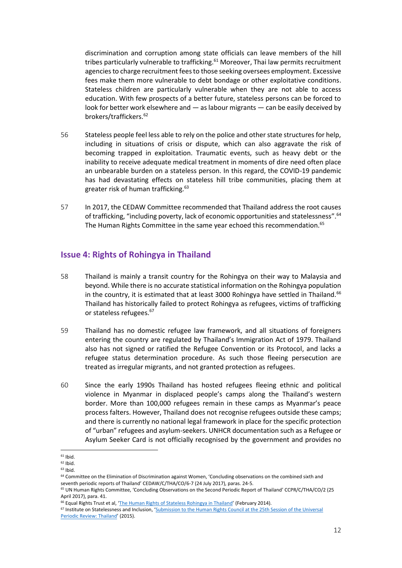discrimination and corruption among state officials can leave members of the hill tribes particularly vulnerable to trafficking.<sup>61</sup> Moreover, Thai law permits recruitment agencies to charge recruitment fees to those seeking oversees employment. Excessive fees make them more vulnerable to debt bondage or other exploitative conditions. Stateless children are particularly vulnerable when they are not able to access education. With few prospects of a better future, stateless persons can be forced to look for better work elsewhere and — as labour migrants — can be easily deceived by brokers/traffickers.<sup>62</sup>

- 56 Stateless people feel less able to rely on the police and other state structures for help, including in situations of crisis or dispute, which can also aggravate the risk of becoming trapped in exploitation. Traumatic events, such as heavy debt or the inability to receive adequate medical treatment in moments of dire need often place an unbearable burden on a stateless person. In this regard, the COVID-19 pandemic has had devastating effects on stateless hill tribe communities, placing them at greater risk of human trafficking.<sup>63</sup>
- 57 In 2017, the CEDAW Committee recommended that Thailand address the root causes of trafficking, "including poverty, lack of economic opportunities and statelessness". <sup>64</sup> The Human Rights Committee in the same year echoed this recommendation.<sup>65</sup>

#### **Issue 4: Rights of Rohingya in Thailand**

- 58 Thailand is mainly a transit country for the Rohingya on their way to Malaysia and beyond. While there is no accurate statistical information on the Rohingya population in the country, it is estimated that at least 3000 Rohingya have settled in Thailand.<sup>66</sup> Thailand has historically failed to protect Rohingya as refugees, victims of trafficking or stateless refugees.<sup>67</sup>
- 59 Thailand has no domestic refugee law framework, and all situations of foreigners entering the country are regulated by Thailand's Immigration Act of 1979. Thailand also has not signed or ratified the Refugee Convention or its Protocol, and lacks a refugee status determination procedure. As such those fleeing persecution are treated as irregular migrants, and not granted protection as refugees.
- 60 Since the early 1990s Thailand has hosted refugees fleeing ethnic and political violence in Myanmar in displaced people's camps along the Thailand's western border. More than 100,000 refugees remain in these camps as Myanmar's peace process falters. However, Thailand does not recognise refugees outside these camps; and there is currently no national legal framework in place for the specific protection of "urban" refugees and asylum-seekers. UNHCR documentation such as a Refugee or Asylum Seeker Card is not officially recognised by the government and provides no

 $61$  Ibid.

 $62$  Ibid.

 $63$  Ibid.

<sup>&</sup>lt;sup>64</sup> Committee on the Elimination of Discrimination against Women, 'Concluding observations on the combined sixth and seventh periodic reports of Thailand' CEDAW/C/THA/CO/6-7 (24 July 2017), paras. 24-5.

<sup>65</sup> UN Human Rights Committee, 'Concluding Observations on the Second Periodic Report of Thailand' CCPR/C/THA/CO/2 (25 April 2017), para. 41.

<sup>&</sup>lt;sup>66</sup> Equal Rights Trust et al, '[The Human Rights of Stateless Rohingya in Thailand](https://www.equalrightstrust.org/ertdocumentbank/The%20Human%20Rights%20of%20Stateless%20Rohingya%20in%20Thailand%28small%29.pdf)' (February 2014).

<sup>67</sup> Institute on Statelessness and Inclusion, '[Submission to the Human Rights Council at the 25th Session of the Universal](https://files.institutesi.org/ThailandUPR2015.pdf)  [Periodic Review: Thailand](https://files.institutesi.org/ThailandUPR2015.pdf)' (2015).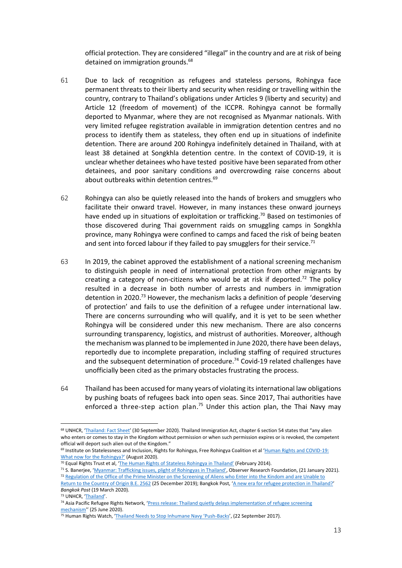official protection. They are considered "illegal" in the country and are at risk of being detained on immigration grounds.<sup>68</sup>

- 61 Due to lack of recognition as refugees and stateless persons, Rohingya face permanent threats to their liberty and security when residing or travelling within the country, contrary to Thailand's obligations under Articles 9 (liberty and security) and Article 12 (freedom of movement) of the ICCPR. Rohingya cannot be formally deported to Myanmar, where they are not recognised as Myanmar nationals. With very limited refugee registration available in immigration detention centres and no process to identify them as stateless, they often end up in situations of indefinite detention. There are around 200 Rohingya indefinitely detained in Thailand, with at least 38 detained at Songkhla detention centre. In the context of COVID-19, it is unclear whether detainees who have tested positive have been separated from other detainees, and poor sanitary conditions and overcrowding raise concerns about about outbreaks within detention centres.<sup>69</sup>
- 62 Rohingya can also be quietly released into the hands of brokers and smugglers who facilitate their onward travel. However, in many instances these onward journeys have ended up in situations of exploitation or trafficking.<sup>70</sup> Based on testimonies of those discovered during Thai government raids on smuggling camps in Songkhla province, many Rohingya were confined to camps and faced the risk of being beaten and sent into forced labour if they failed to pay smugglers for their service.<sup>71</sup>
- 63 In 2019, the cabinet approved the establishment of a national screening mechanism to distinguish people in need of international protection from other migrants by creating a category of non-citizens who would be at risk if deported.<sup>72</sup> The policy resulted in a decrease in both number of arrests and numbers in immigration detention in 2020.<sup>73</sup> However, the mechanism lacks a definition of people 'deserving of protection' and fails to use the definition of a refugee under international law. There are concerns surrounding who will qualify, and it is yet to be seen whether Rohingya will be considered under this new mechanism. There are also concerns surrounding transparency, logistics, and mistrust of authorities. Moreover, although the mechanism was planned to be implemented in June 2020, there have been delays, reportedly due to incomplete preparation, including staffing of required structures and the subsequent determination of procedure.<sup>74</sup> Covid-19 related challenges have unofficially been cited as the primary obstacles frustrating the process.
- 64 Thailand has been accused for many years of violating its international law obligations by pushing boats of refugees back into open seas. Since 2017, Thai authorities have enforced a three-step action plan.<sup>75</sup> Under this action plan, the Thai Navy may

<sup>&</sup>lt;sup>68</sup> UNHCR, '[Thailand: Fact Sheet](https://www.unhcr.org/th/wp-content/uploads/sites/91/2020/11/UNHCR-Thailand-Fact-Sheet_30-September-2020.pdf)' (30 September 2020). Thailand Immigration Act, chapter 6 section 54 states that "any alien who enters or comes to stay in the Kingdom without permission or when such permission expires or is revoked, the competent official will deport such alien out of the Kingdom."

 $69$  Institute on Statelessness and Inclusion, Rights for Rohingya, Free Rohingya Coalition et al 'Human Rights and COVID-19: [What now for the Rohingya?'](https://files.institutesi.org/Covid19_The_Rohingya_Briefing_Paper.pdf) (August 2020).

<sup>70</sup> Equal Rights Trust et al, ['The Human Rights of Stateless Rohingya in Thailand'](https://www.equalrightstrust.org/ertdocumentbank/The%20Human%20Rights%20of%20Stateless%20Rohingya%20in%20Thailand%28small%29.pdf) (February 2014).

<sup>&</sup>lt;sup>71</sup> S. Banerjee, 'Myanmar: Trafficking issues, [plight of Rohingyas in Thailand'](https://www.orfonline.org/expert-speak/myanmar-trafficking-issues-plight-rohingyas-thailand/), Observer Research Foundation, (21 January 2021). <sup>72</sup> [Regulation of the Office of the Prime Minister on the Screening of Aliens who Enter into the Kindom and are Unable to](https://www.refworld.org/docid/5e675a774.html) 

[Return to the Country of Origin B.E. 2562](https://www.refworld.org/docid/5e675a774.html) (25 December 2019); Bangkok Post, '[A new era for refugee protection in Thailand?](https://www.bangkokpost.com/opinion/opinion/1881970/a-new-era-for-refugee-protection-in-thailand-)' *Bangkok Post* (19 March 2020).

<sup>73</sup> UNHCR, '[Thailand](https://reporting.unhcr.org/thailand)'.

<sup>74</sup> Asia Pacific Refugee Rights Network, 'Press release: Thailand quietly delays implementation of refugee screening [mechanism](https://reliefweb.int/report/thailand/press-release-thailand-quietly-delays-implementation-refugee-screening-mechanism)'' (25 June 2020).

<sup>&</sup>lt;sup>75</sup> Human Rights Watch, ['Thailand Needs to Stop Inhumane Navy 'Push](https://www.hrw.org/news/2017/09/22/thailand-needs-stop-inhumane-navy-push-backs)-Backs', (22 September 2017).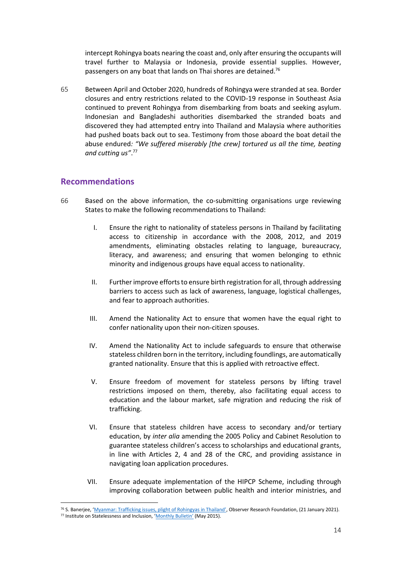intercept Rohingya boats nearing the coast and, only after ensuring the occupants will travel further to Malaysia or Indonesia, provide essential supplies. However, passengers on any boat that lands on Thai shores are detained.<sup>76</sup>

65 Between April and October 2020, hundreds of Rohingya were stranded at sea. Border closures and entry restrictions related to the COVID-19 response in Southeast Asia continued to prevent Rohingya from disembarking from boats and seeking asylum. Indonesian and Bangladeshi authorities disembarked the stranded boats and discovered they had attempted entry into Thailand and Malaysia where authorities had pushed boats back out to sea. Testimony from those aboard the boat detail the abuse endured*: "We suffered miserably [the crew] tortured us all the time, beating and cutting us"*. 77

#### **Recommendations**

- 66 Based on the above information, the co-submitting organisations urge reviewing States to make the following recommendations to Thailand:
	- I. Ensure the right to nationality of stateless persons in Thailand by facilitating access to citizenship in accordance with the 2008, 2012, and 2019 amendments, eliminating obstacles relating to language, bureaucracy, literacy, and awareness; and ensuring that women belonging to ethnic minority and indigenous groups have equal access to nationality.
	- II. Further improve efforts to ensure birth registration for all, through addressing barriers to access such as lack of awareness, language, logistical challenges, and fear to approach authorities.
	- III. Amend the Nationality Act to ensure that women have the equal right to confer nationality upon their non-citizen spouses.
	- IV. Amend the Nationality Act to include safeguards to ensure that otherwise stateless children born in the territory, including foundlings, are automatically granted nationality. Ensure that this is applied with retroactive effect.
	- V. Ensure freedom of movement for stateless persons by lifting travel restrictions imposed on them, thereby, also facilitating equal access to education and the labour market, safe migration and reducing the risk of trafficking.
	- VI. Ensure that stateless children have access to secondary and/or tertiary education, by *inter alia* amending the 2005 Policy and Cabinet Resolution to guarantee stateless children's access to scholarships and educational grants, in line with Articles 2, 4 and 28 of the CRC, and providing assistance in navigating loan application procedures.
	- VII. Ensure adequate implementation of the HIPCP Scheme, including through improving collaboration between public health and interior ministries, and

<sup>76</sup> S. Banerjee, ['Myanmar: Trafficking issues, plight of Rohingyas in Thailand'](https://www.orfonline.org/expert-speak/myanmar-trafficking-issues-plight-rohingyas-thailand/), Observer Research Foundation, (21 January 2021). 77 Institute on Statelessness and Inclusion, ['Monthly Bulletin'](http://www.institutesi.org/stateless_bulletin_2015-05.pdf) (May 2015).